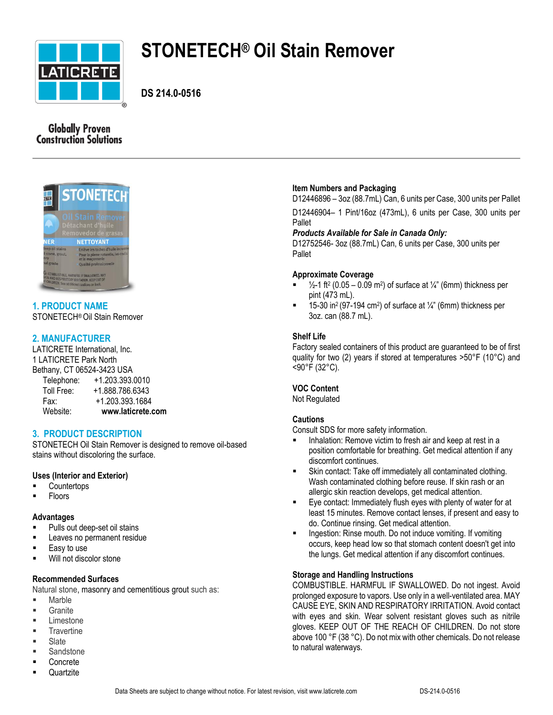

# **STONETECH® Oil Stain Remover**

**DS 214.0-0516**

# **Globally Proven Construction Solutions**



# **1. PRODUCT NAME** STONETECH®Oil Stain Remover

# **2. MANUFACTURER**

LATICRETE International, Inc. 1 LATICRETE Park North Bethany, CT 06524-3423 USA Telephone: +1.203.393.0010 Toll Free: +1.888.786.6343 Fax: +1.203.393.1684 Website: **www.laticrete.com**

# **3. PRODUCT DESCRIPTION**

STONETECH Oil Stain Remover is designed to remove oil-based stains without discoloring the surface.

# **Uses (Interior and Exterior)**

- **Countertops**
- Floors

# **Advantages**

- Pulls out deep-set oil stains
- Leaves no permanent residue
- **Easy to use**
- Will not discolor stone

# **Recommended Surfaces**

Natural stone, masonry and cementitious grout such as:

- Marble
- **Granite**
- $\blacksquare$  Limestone
- **Travertine**
- Slate
- **Sandstone**
- **Concrete Quartzite**

## $\blacksquare$  15-30 in<sup>2</sup> (97-194 cm<sup>2</sup>) of surface at  $\frac{1}{4}$ " (6mm) thickness per 3oz. can (88.7 mL).

pint (473 mL).

**Approximate Coverage**

**Item Numbers and Packaging**

*Products Available for Sale in Canada Only:*

# **Shelf Life**

Pallet

Pallet

Factory sealed containers of this product are guaranteed to be of first quality for two (2) years if stored at temperatures >50°F (10°C) and <90°F (32°C).

D12446896 – 3oz (88.7mL) Can, 6 units per Case, 300 units per Pallet D12446904– 1 Pint/16oz (473mL), 6 units per Case, 300 units per

D12752546- 3oz (88.7mL) Can, 6 units per Case, 300 units per

 $\blacksquare$   $\frac{1}{2}$ -1 ft<sup>2</sup> (0.05 – 0.09 m<sup>2</sup>) of surface at  $\frac{1}{4}$ " (6mm) thickness per

# **VOC Content**

Not Regulated

# **Cautions**

Consult SDS for more safety information.

- **Inhalation: Remove victim to fresh air and keep at rest in a** position comfortable for breathing. Get medical attention if any discomfort continues.
- Skin contact: Take off immediately all contaminated clothing. Wash contaminated clothing before reuse. If skin rash or an allergic skin reaction develops, get medical attention.
- Eye contact: Immediately flush eyes with plenty of water for at least 15 minutes. Remove contact lenses, if present and easy to do. Continue rinsing. Get medical attention.
- **Ingestion: Rinse mouth. Do not induce vomiting. If vomiting** occurs, keep head low so that stomach content doesn't get into the lungs. Get medical attention if any discomfort continues.

# **Storage and Handling Instructions**

COMBUSTIBLE. HARMFUL IF SWALLOWED. Do not ingest. Avoid prolonged exposure to vapors. Use only in a well-ventilated area. MAY CAUSE EYE, SKIN AND RESPIRATORY IRRITATION. Avoid contact with eyes and skin. Wear solvent resistant gloves such as nitrile gloves. KEEP OUT OF THE REACH OF CHILDREN. Do not store above 100 °F (38 °C). Do not mix with other chemicals. Do not release to natural waterways.